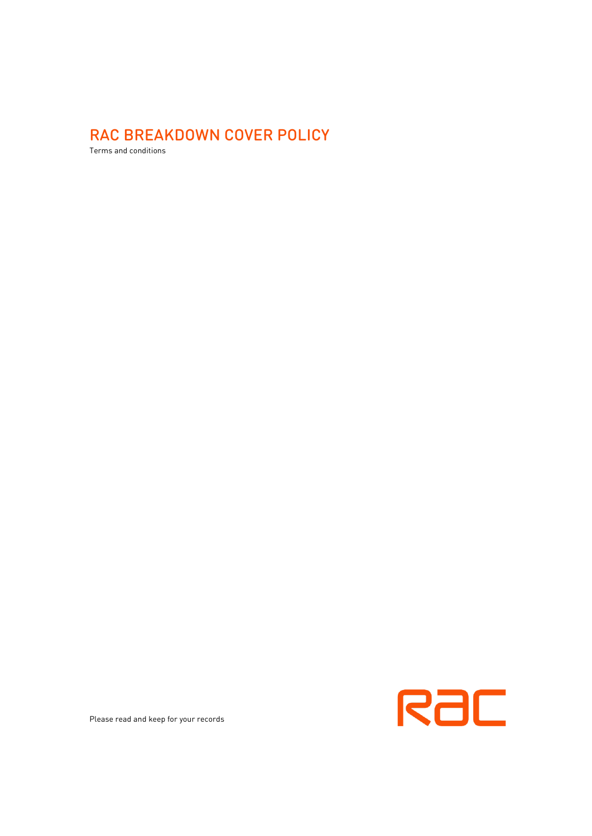# RAC BREAKDOWN COVER POLICY

Terms and conditions



Please read and keep for your records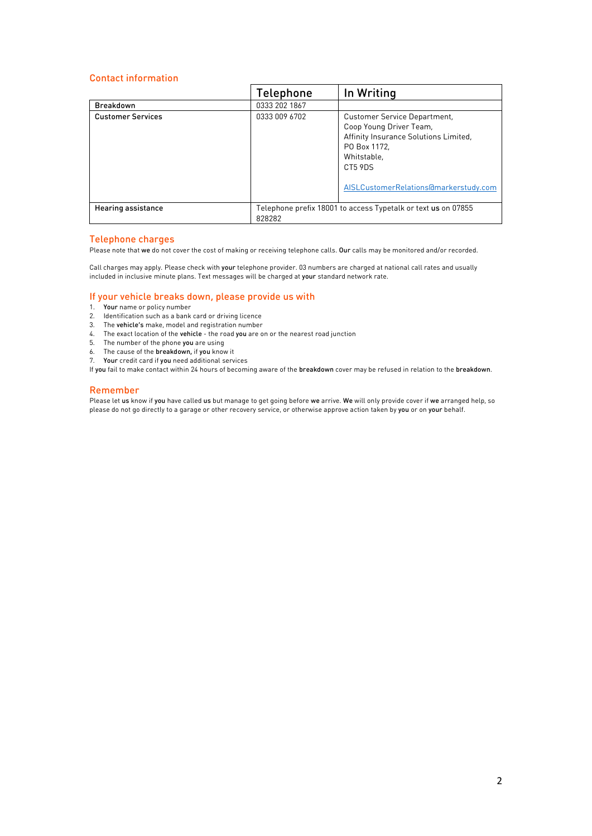## <span id="page-1-0"></span>Contact information

|                           | Telephone                                                                      | In Writing                                                                                                                                                                                 |
|---------------------------|--------------------------------------------------------------------------------|--------------------------------------------------------------------------------------------------------------------------------------------------------------------------------------------|
| <b>Breakdown</b>          | 0333 202 1867                                                                  |                                                                                                                                                                                            |
| <b>Customer Services</b>  | 0333 009 6702                                                                  | <b>Customer Service Department,</b><br>Coop Young Driver Team,<br>Affinity Insurance Solutions Limited,<br>PO Box 1172.<br>Whitstable.<br>CT5 9DS<br>AISLCustomerRelations@markerstudy.com |
| <b>Hearing assistance</b> | Telephone prefix 18001 to access Typetalk or text <b>us</b> on 07855<br>828282 |                                                                                                                                                                                            |

## Telephone charges

Please note that we do not cover the cost of making or receiving telephone calls. Our calls may be monitored and/or recorded.

Call charges may apply. Please check with your telephone provider. 03 numbers are charged at national call rates and usually included in inclusive minute plans. Text messages will be charged at your standard network rate.

## If your vehicle breaks down, please provide us with

- 1. Your name or policy number
- 2. Identification such as a bank card or driving licence
- 3. The vehicle's make, model and registration number
- 4. The exact location of the vehicle the road you are on or the nearest road junction
- 5. The number of the phone you are using
- 6. The cause of the breakdown, if you know it
- 7. Your credit card if you need additional services

If you fail to make contact within 24 hours of becoming aware of the breakdown cover may be refused in relation to the breakdown.

## Remember

Please let us know if you have called us but manage to get going before we arrive. We will only provide cover if we arranged help, so please do not go directly to a garage or other recovery service, or otherwise approve action taken by you or on your behalf.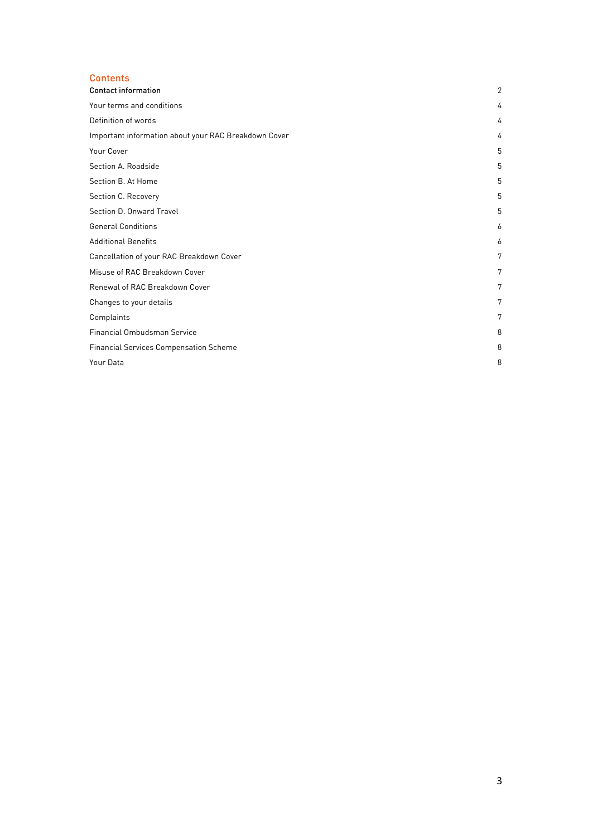## Contents

| <b>Contact information</b>                           | 2 |
|------------------------------------------------------|---|
| Your terms and conditions                            | 4 |
| Definition of words                                  | 4 |
| Important information about your RAC Breakdown Cover | 4 |
| Your Cover                                           | 5 |
| Section A. Roadside                                  | 5 |
| Section B. At Home                                   | 5 |
| Section C. Recovery                                  | 5 |
| Section D. Onward Travel                             | 5 |
| <b>General Conditions</b>                            | 6 |
| <b>Additional Benefits</b>                           | 6 |
| Cancellation of your RAC Breakdown Cover             | 7 |
| Misuse of RAC Breakdown Cover                        | 7 |
| Renewal of RAC Breakdown Cover                       | 7 |
| Changes to your details                              | 7 |
| Complaints                                           | 7 |
| Financial Ombudsman Service                          | 8 |
| <b>Financial Services Compensation Scheme</b>        | 8 |
| Your Data                                            | 8 |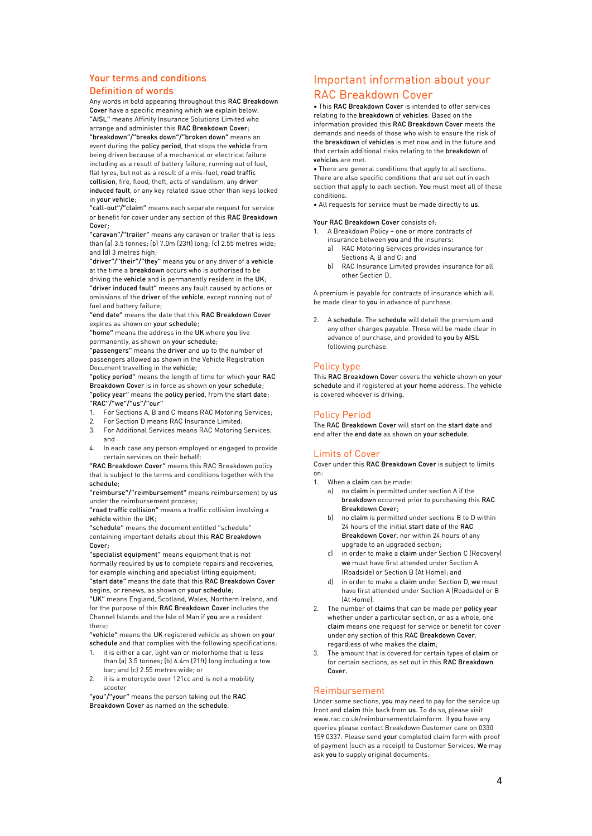## <span id="page-3-0"></span>Your terms and conditions

## <span id="page-3-1"></span>Definition of words

Any words in bold appearing throughout this RAC Breakdown Cover have a specific meaning which we explain below. "AISL" means Affinity Insurance Solutions Limited who arrange and administer this RAC Breakdown Cover; "breakdown"/"breaks down"/"broken down" means an event during the policy period, that stops the vehicle from being driven because of a mechanical or electrical failure including as a result of battery failure, running out of fuel, flat tyres, but not as a result of a mis-fuel, road traffic collision, fire, flood, theft, acts of vandalism, any driver induced fault, or any key related issue other than keys locked in your vehicle;

"call-out"/"claim" means each separate request for service or benefit for cover under any section of this RAC Breakdown Cover;

"caravan"/"trailer" means any caravan or trailer that is less than (a) 3.5 tonnes; (b) 7.0m (23ft) long; (c) 2.55 metres wide; and (d) 3 metres high;

"driver"/"their"/"they" means you or any driver of a vehicle at the time a breakdown occurs who is authorised to be

driving the vehicle and is permanently resident in the UK; "driver induced fault" means any fault caused by actions or omissions of the driver of the vehicle, except running out of fuel and battery failure;

"end date" means the date that this RAC Breakdown Cover expires as shown on your schedule;

"home" means the address in the UK where you live permanently, as shown on your schedule;

"passengers" means the driver and up to the number of passengers allowed as shown in the Vehicle Registration Document travelling in the vehicle;

"policy period" means the length of time for which your RAC Breakdown Cover is in force as shown on your schedule; "policy year" means the policy period, from the start date; "RAC"/"we"/"us"/"our"

- 1. For Sections A, B and C means RAC Motoring Services;<br>2. For Section D means RAC Insurance Limited:
- 2. For Section D means RAC Insurance Limited;
- 3. For Additional Services means RAC Motoring Services; and
- 4. In each case any person employed or engaged to provide certain services on their behalf;

"RAC Breakdown Cover" means this RAC Breakdown policy that is subject to the terms and conditions together with the schedule;

"reimburse"/"reimbursement" means reimbursement by us under the reimbursement process;

"road traffic collision" means a traffic collision involving a vehicle within the UK;

"schedule" means the document entitled "schedule" containing important details about this RAC Breakdown Cover;

"specialist equipment" means equipment that is not normally required by us to complete repairs and recoveries, for example winching and specialist lifting equipment: "start date" means the date that this RAC Breakdown Cover

begins, or renews, as shown on your schedule; "UK" means England, Scotland, Wales, Northern Ireland, and

for the purpose of this RAC Breakdown Cover includes the Channel Islands and the Isle of Man if you are a resident there;

"vehicle" means the UK registered vehicle as shown on your schedule and that complies with the following specifications:

- 1. it is either a car, light van or motorhome that is less than (a) 3.5 tonnes; (b) 6.4m (21ft) long including a tow bar; and (c) 2.55 metres wide; or
- 2. it is a motorcycle over 121cc and is not a mobility scooter

<span id="page-3-2"></span>"you"/"your" means the person taking out the RAC Breakdown Cover as named on the schedule.

## Important information about your RAC Breakdown Cover

• This RAC Breakdown Cover is intended to offer services relating to the breakdown of vehicles. Based on the information provided this RAC Breakdown Cover meets the demands and needs of those who wish to ensure the risk of the breakdown of vehicles is met now and in the future and that certain additional risks relating to the breakdown of vehicles are met.

• There are general conditions that apply to all sections. There are also specific conditions that are set out in each section that apply to each section. You must meet all of these conditions.

• All requests for service must be made directly to us.

#### Your RAC Breakdown Cover consists of:

- 1. A Breakdown Policy one or more contracts of
	- insurance between you and the insurers: a) RAC Motoring Services provides insurance for Sections A, B and C; and
	- b) RAC Insurance Limited provides insurance for all other Section D.

A premium is payable for contracts of insurance which will be made clear to you in advance of purchase.

2. A schedule. The schedule will detail the premium and any other charges payable. These will be made clear in advance of purchase, and provided to you by AISL following purchase.

#### Policy type

This RAC Breakdown Cover covers the vehicle shown on your schedule and if registered at your home address. The vehicle is covered whoever is driving.

## Policy Period

The RAC Breakdown Cover will start on the start date and end after the end date as shown on your schedule.

## Limits of Cover

Cover under this RAC Breakdown Cover is subject to limits on:

- When a claim can be made:
	- a) no claim is permitted under section A if the breakdown occurred prior to purchasing this RAC Breakdown Cover;
	- b) no claim is permitted under sections B to D within 24 hours of the initial start date of the RAC Breakdown Cover, nor within 24 hours of any upgrade to an upgraded section;
	- c) in order to make a claim under Section C (Recovery) we must have first attended under Section A (Roadside) or Section B (At Home); and
	- d) in order to make a claim under Section D, we must have first attended under Section A (Roadside) or B (At Home).
- 2. The number of claims that can be made per policy year whether under a particular section, or as a whole, one claim means one request for service or benefit for cover under any section of this RAC Breakdown Cover, regardless of who makes the claim;
- 3. The amount that is covered for certain types of claim or for certain sections, as set out in this RAC Breakdown Cover.

#### Reimbursement

Under some sections, you may need to pay for the service up front and claim this back from us. To do so, please visit www.rac.co.uk/reimbursementclaimform. If you have any queries please contact Breakdown Customer care on 0330 159 0337. Please send your completed claim form with proof of payment (such as a receipt) to Customer Services. We may ask you to supply original documents.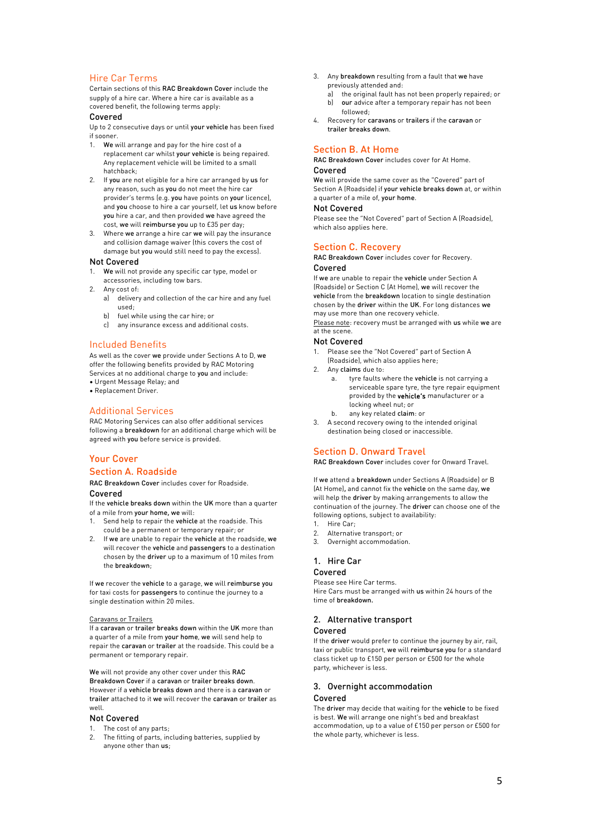## Hire Car Terms

Certain sections of this RAC Breakdown Cover include the supply of a hire car. Where a hire car is available as a covered benefit, the following terms apply:

## Covered

Up to 2 consecutive days or until your vehicle has been fixed if sooner.

- 1. We will arrange and pay for the hire cost of a replacement car whilst your vehicle is being repaired. Any replacement vehicle will be limited to a small hatchback;
- 2. If you are not eligible for a hire car arranged by us for any reason, such as you do not meet the hire car provider's terms (e.g. you have points on your licence), and you choose to hire a car yourself, let us know before you hire a car, and then provided we have agreed the cost, we will reimburse you up to £35 per day;
- 3. Where we arrange a hire car we will pay the insurance and collision damage waiver (this covers the cost of damage but you would still need to pay the excess).

#### Not Covered

- 1. We will not provide any specific car type, model or accessories, including tow bars.
- 2. Any cost of:
	- a) delivery and collection of the car hire and any fuel used;
	- b) fuel while using the car hire; or
	- c) any insurance excess and additional costs.

#### Included Benefits

As well as the cover we provide under Sections A to D, we offer the following benefits provided by RAC Motoring Services at no additional charge to you and include: • Urgent Message Relay; and

• Replacement Driver.

## Additional Services

RAC Motoring Services can also offer additional services following a breakdown for an additional charge which will be agreed with you before service is provided.

## <span id="page-4-1"></span><span id="page-4-0"></span>Your Cover Section A. Roadside

#### RAC Breakdown Cover includes cover for Roadside. Covered

If the vehicle breaks down within the UK more than a quarter of a mile from your home, we will:

- 1. Send help to repair the vehicle at the roadside. This could be a permanent or temporary repair; or
- 2. If we are unable to repair the vehicle at the roadside, we will recover the vehicle and passengers to a destination chosen by the driver up to a maximum of 10 miles from the breakdown;

If we recover the vehicle to a garage, we will reimburse you for taxi costs for passengers to continue the journey to a single destination within 20 miles.

#### Caravans or Trailers

If a caravan or trailer breaks down within the UK more than a quarter of a mile from your home, we will send help to repair the caravan or trailer at the roadside. This could be a permanent or temporary repair.

We will not provide any other cover under this RAC Breakdown Cover if a caravan or trailer breaks down. However if a vehicle breaks down and there is a caravan or trailer attached to it we will recover the caravan or trailer as well.

#### Not Covered

- 1. The cost of any parts;
- 2. The fitting of parts, including batteries, supplied by anyone other than us;
- 3. Any breakdown resulting from a fault that we have previously attended and:
	- a) the original fault has not been properly repaired; or<br>b) our advice after a temporary repair has not been our advice after a temporary repair has not been
- followed; 4. Recovery for caravans or trailers if the caravan or trailer breaks down.

## <span id="page-4-2"></span>Section B. At Home

RAC Breakdown Cover includes cover for At Home. Covered

We will provide the same cover as the "Covered" part of Section A (Roadside) if your vehicle breaks down at, or within a quarter of a mile of, your home.

#### Not Covered

Please see the "Not Covered" part of Section A (Roadside), which also applies here.

#### <span id="page-4-3"></span>Section C. Recovery

RAC Breakdown Cover includes cover for Recovery. Covered

If we are unable to repair the vehicle under Section A (Roadside) or Section C (At Home), we will recover the vehicle from the breakdown location to single destination chosen by the driver within the UK. For long distances we may use more than one recovery vehicle. Please note: recovery must be arranged with us while we are

at the scene.

## Not Covered

- 1. Please see the "Not Covered" part of Section A (Roadside), which also applies here;
- 2. Any claims due to:
	- tyre faults where the vehicle is not carrying a serviceable spare tyre, the tyre repair equipment provided by the vehicle's manufacturer or a locking wheel nut; or
	- b. any key related claim: or
- 3. A second recovery owing to the intended original destination being closed or inaccessible.

## <span id="page-4-4"></span>Section D. Onward Travel

RAC Breakdown Cover includes cover for Onward Travel.

If we attend a breakdown under Sections A (Roadside) or B (At Home), and cannot fix the vehicle on the same day, we will help the driver by making arrangements to allow the continuation of the journey. The driver can choose one of the following options, subject to availability:

- 1. Hire Car;
- 2. Alternative transport; or
- 3. Overnight accommodation.

#### 1. Hire Car

#### Covered

Please see Hire Car terms. Hire Cars must be arranged with us within 24 hours of the time of breakdown.

#### 2. Alternative transport

#### Covered

If the driver would prefer to continue the journey by air, rail, taxi or public transport, we will reimburse you for a standard class ticket up to £150 per person or £500 for the whole party, whichever is less.

#### 3. Overnight accommodation

#### Covered

The driver may decide that waiting for the vehicle to be fixed is best. We will arrange one night's bed and breakfast accommodation, up to a value of £150 per person or £500 for the whole party, whichever is less.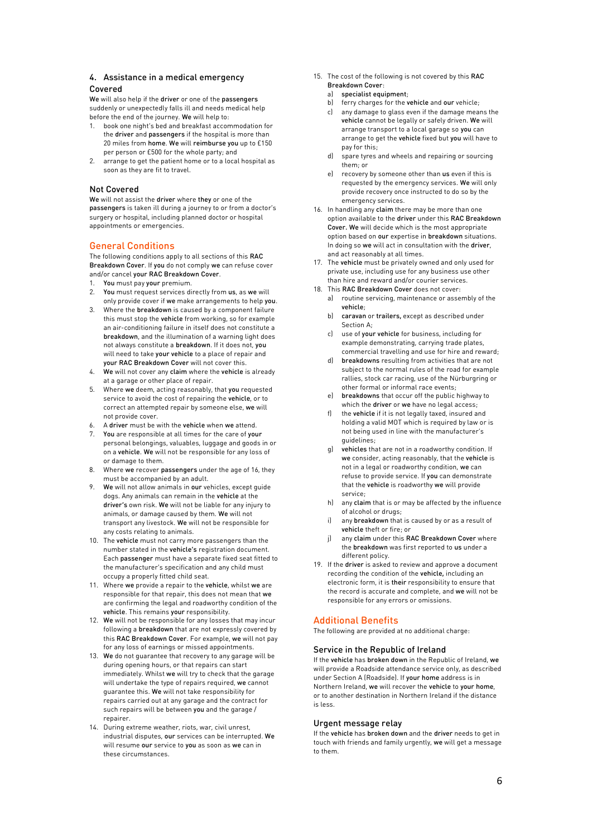#### 4. Assistance in a medical emergency Covered

We will also help if the driver or one of the passengers suddenly or unexpectedly falls ill and needs medical help before the end of the journey. We will help to:

- 1. book one night's bed and breakfast accommodation for the driver and passengers if the hospital is more than 20 miles from home. We will reimburse you up to £150 per person or £500 for the whole party; and
- 2. arrange to get the patient home or to a local hospital as soon as they are fit to travel.

#### Not Covered

We will not assist the driver where they or one of the passengers is taken ill during a journey to or from a doctor's surgery or hospital, including planned doctor or hospital appointments or emergencies.

### <span id="page-5-0"></span>General Conditions

The following conditions apply to all sections of this RAC Breakdown Cover. If you do not comply we can refuse cover and/or cancel your RAC Breakdown Cover.

- 1. You must pay your premium.
- 2. You must request services directly from us, as we will only provide cover if we make arrangements to help you.
- 3. Where the breakdown is caused by a component failure this must stop the vehicle from working, so for example an air-conditioning failure in itself does not constitute a breakdown, and the illumination of a warning light does not always constitute a breakdown. If it does not, you will need to take your vehicle to a place of repair and your RAC Breakdown Cover will not cover this.
- 4. We will not cover any claim where the vehicle is already at a garage or other place of repair.
- 5. Where we deem, acting reasonably, that you requested service to avoid the cost of repairing the vehicle, or to correct an attempted repair by someone else, we will not provide cover.
- 6. A driver must be with the vehicle when we attend.
- 7. You are responsible at all times for the care of your personal belongings, valuables, luggage and goods in or on a vehicle. We will not be responsible for any loss of or damage to them.
- 8. Where we recover passengers under the age of 16, they must be accompanied by an adult.
- We will not allow animals in our vehicles, except quide dogs. Any animals can remain in the vehicle at the driver's own risk. We will not be liable for any injury to animals, or damage caused by them. We will not transport any livestock. We will not be responsible for any costs relating to animals.
- 10. The vehicle must not carry more passengers than the number stated in the vehicle's registration document. Each passenger must have a separate fixed seat fitted to the manufacturer's specification and any child must occupy a properly fitted child seat.
- 11. Where we provide a repair to the vehicle, whilst we are responsible for that repair, this does not mean that we are confirming the legal and roadworthy condition of the vehicle. This remains your responsibility.
- 12. We will not be responsible for any losses that may incur following a breakdown that are not expressly covered by this RAC Breakdown Cover. For example, we will not pay for any loss of earnings or missed appointments.
- 13. We do not guarantee that recovery to any garage will be during opening hours, or that repairs can start immediately. Whilst we will try to check that the garage will undertake the type of repairs required, we cannot guarantee this. We will not take responsibility for repairs carried out at any garage and the contract for such repairs will be between you and the garage / repairer.
- 14. During extreme weather, riots, war, civil unrest, industrial disputes, our services can be interrupted. We will resume our service to you as soon as we can in these circumstances.

15. The cost of the following is not covered by this RAC Breakdown Cover:

#### specialist equipment;

- b) ferry charges for the vehicle and our vehicle;
- c) any damage to glass even if the damage means the vehicle cannot be legally or safely driven. We will arrange transport to a local garage so you can arrange to get the vehicle fixed but you will have to pay for this;
- d) spare tyres and wheels and repairing or sourcing them; or
- e) recovery by someone other than us even if this is requested by the emergency services. We will only provide recovery once instructed to do so by the emergency services.
- 16. In handling any claim there may be more than one option available to the driver under this RAC Breakdown Cover. We will decide which is the most appropriate option based on our expertise in breakdown situations. In doing so we will act in consultation with the driver, and act reasonably at all times.
- 17. The vehicle must be privately owned and only used for private use, including use for any business use other than hire and reward and/or courier services.
- 18. This RAC Breakdown Cover does not cover:
	- a) routine servicing, maintenance or assembly of the vehicle;
	- b) caravan or trailers, except as described under Section A;
	- c) use of your vehicle for business, including for example demonstrating, carrying trade plates, commercial travelling and use for hire and reward;
	- d) breakdowns resulting from activities that are not subject to the normal rules of the road for example rallies, stock car racing, use of the Nürburgring or other formal or informal race events;
	- breakdowns that occur off the public highway to which the **driver** or we have no legal access:
	- f) the vehicle if it is not legally taxed, insured and holding a valid MOT which is required by law or is not being used in line with the manufacturer's guidelines;
	- g) vehicles that are not in a roadworthy condition. If we consider, acting reasonably, that the vehicle is not in a legal or roadworthy condition, we can refuse to provide service. If you can demonstrate that the vehicle is roadworthy we will provide service;
	- h) any claim that is or may be affected by the influence of alcohol or drugs;
	- i) any breakdown that is caused by or as a result of vehicle theft or fire; or
	- j) any claim under this RAC Breakdown Cover where the breakdown was first reported to us under a different policy.
- 19. If the driver is asked to review and approve a document recording the condition of the vehicle, including an electronic form, it is their responsibility to ensure that the record is accurate and complete, and we will not be responsible for any errors or omissions.

## <span id="page-5-1"></span>Additional Benefits

The following are provided at no additional charge:

#### Service in the Republic of Ireland

If the vehicle has broken down in the Republic of Ireland, we will provide a Roadside attendance service only, as described under Section A (Roadside). If your home address is in Northern Ireland, we will recover the vehicle to your home, or to another destination in Northern Ireland if the distance is less.

#### Urgent message relay

If the vehicle has broken down and the driver needs to get in touch with friends and family urgently, we will get a message to them.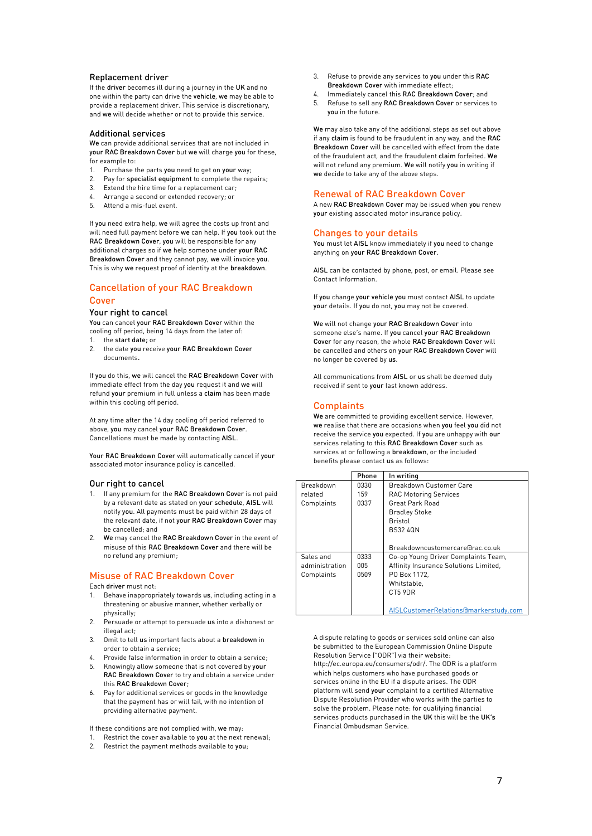#### Replacement driver

If the driver becomes ill during a journey in the UK and no one within the party can drive the vehicle, we may be able to provide a replacement driver. This service is discretionary, and we will decide whether or not to provide this service.

#### Additional services

We can provide additional services that are not included in your RAC Breakdown Cover but we will charge you for these, for example to:

- 1. Purchase the parts you need to get on your way;
- 2. Pay for specialist equipment to complete the repairs;
- 3. Extend the hire time for a replacement car;
- 4. Arrange a second or extended recovery; or
- 5. Attend a mis-fuel event.

If you need extra help, we will agree the costs up front and will need full payment before we can help. If you took out the RAC Breakdown Cover, you will be responsible for any additional charges so if we help someone under your RAC Breakdown Cover and they cannot pay, we will invoice you. This is why we request proof of identity at the breakdown.

## <span id="page-6-0"></span>Cancellation of your RAC Breakdown Cover

#### Your right to cancel

You can cancel your RAC Breakdown Cover within the cooling off period, being 14 days from the later of: 1. the start date; or

2. the date you receive your RAC Breakdown Cover documents.

If you do this, we will cancel the RAC Breakdown Cover with immediate effect from the day you request it and we will refund your premium in full unless a claim has been made within this cooling off period.

At any time after the 14 day cooling off period referred to above, you may cancel your RAC Breakdown Cover. Cancellations must be made by contacting AISL.

Your RAC Breakdown Cover will automatically cancel if your associated motor insurance policy is cancelled.

#### Our right to cancel

- 1. If any premium for the RAC Breakdown Cover is not paid by a relevant date as stated on your schedule, AISL will notify you. All payments must be paid within 28 days of the relevant date, if not your RAC Breakdown Cover may be cancelled; and
- 2. We may cancel the RAC Breakdown Cover in the event of misuse of this RAC Breakdown Cover and there will be no refund any premium;

## <span id="page-6-1"></span>Misuse of RAC Breakdown Cover

Each driver must not:

- 1. Behave inappropriately towards us, including acting in a threatening or abusive manner, whether verbally or physically;
- 2. Persuade or attempt to persuade us into a dishonest or illegal act:
- 3. Omit to tell us important facts about a breakdown in order to obtain a service;
- 4. Provide false information in order to obtain a service; Knowingly allow someone that is not covered by your
- RAC Breakdown Cover to try and obtain a service under this RAC Breakdown Cover;
- 6. Pay for additional services or goods in the knowledge that the payment has or will fail, with no intention of providing alternative payment.

If these conditions are not complied with, we may:

- 1. Restrict the cover available to you at the next renewal;
- 2. Restrict the payment methods available to you;
- 3. Refuse to provide any services to you under this RAC Breakdown Cover with immediate effect;
- 4. Immediately cancel this RAC Breakdown Cover; and
- 5. Refuse to sell any RAC Breakdown Cover or services to you in the future.

We may also take any of the additional steps as set out above if any claim is found to be fraudulent in any way, and the RAC Breakdown Cover will be cancelled with effect from the date of the fraudulent act, and the fraudulent claim forfeited. We will not refund any premium. We will notify you in writing if we decide to take any of the above steps.

#### <span id="page-6-2"></span>Renewal of RAC Breakdown Cover

A new RAC Breakdown Cover may be issued when you renew your existing associated motor insurance policy.

## <span id="page-6-3"></span>Changes to your details

You must let AISL know immediately if you need to change anything on your RAC Breakdown Cover.

AISL can be contacted by phone, post, or email. Please see Contact Information.

If you change your vehicle you must contact AISL to update your details. If you do not, you may not be covered.

We will not change your RAC Breakdown Cover into someone else's name. If you cancel your RAC Breakdown Cover for any reason, the whole RAC Breakdown Cover will be cancelled and others on your RAC Breakdown Cover will no longer be covered by us.

All communications from AISL or us shall be deemed duly received if sent to your last known address.

### <span id="page-6-4"></span>**Complaints**

We are committed to providing excellent service. However, we realise that there are occasions when you feel you did not receive the service you expected. If you are unhappy with our services relating to this RAC Breakdown Cover such as services at or following a breakdown, or the included benefits please contact us as follows:

|                                           | Phone               | In writing                                                                                                                                     |
|-------------------------------------------|---------------------|------------------------------------------------------------------------------------------------------------------------------------------------|
| Breakdown<br>related<br>Complaints        | 0330<br>159<br>0337 | <b>Breakdown Customer Care</b><br><b>RAC Motoring Services</b><br><b>Great Park Road</b><br><b>Bradley Stoke</b><br>Bristol<br><b>BS32 40N</b> |
|                                           |                     | Breakdowncustomercare@rac.co.uk                                                                                                                |
| Sales and<br>administration<br>Complaints | 0333<br>005<br>0509 | Co-op Young Driver Complaints Team,<br>Affinity Insurance Solutions Limited,<br>PO Box 1172,<br>Whitstable.<br>CT5 9DR                         |
|                                           |                     | AISLCustomerRelations@markerstudy.com                                                                                                          |

<span id="page-6-5"></span>A dispute relating to goods or services sold online can also be submitted to the European Commission Online Dispute Resolution Service ("ODR") via their website: http://ec.europa.eu/consumers/odr/. The ODR is a platform which helps customers who have purchased goods or services online in the EU if a dispute arises. The ODR platform will send your complaint to a certified Alternative Dispute Resolution Provider who works with the parties to solve the problem. Please note: for qualifying financial services products purchased in the UK this will be the UK's Financial Ombudsman Service.